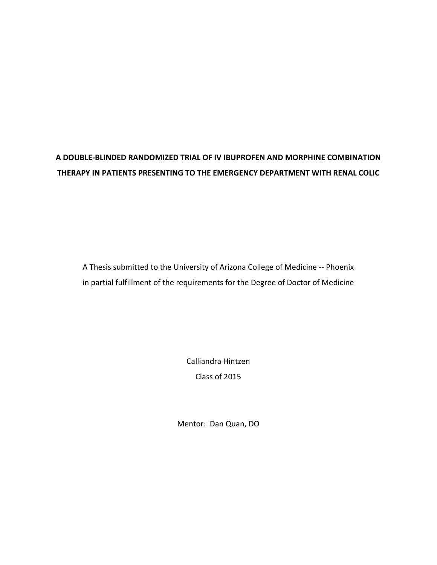# **A DOUBLE‐BLINDED RANDOMIZED TRIAL OF IV IBUPROFEN AND MORPHINE COMBINATION THERAPY IN PATIENTS PRESENTING TO THE EMERGENCY DEPARTMENT WITH RENAL COLIC**

A Thesis submitted to the University of Arizona College of Medicine ‐‐ Phoenix in partial fulfillment of the requirements for the Degree of Doctor of Medicine

> Calliandra Hintzen Class of 2015

Mentor: Dan Quan, DO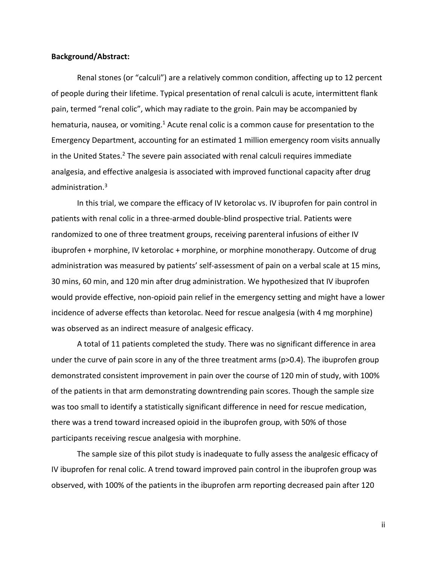#### **Background/Abstract:**

Renal stones (or "calculi") are a relatively common condition, affecting up to 12 percent of people during their lifetime. Typical presentation of renal calculi is acute, intermittent flank pain, termed "renal colic", which may radiate to the groin. Pain may be accompanied by hematuria, nausea, or vomiting.<sup>1</sup> Acute renal colic is a common cause for presentation to the Emergency Department, accounting for an estimated 1 million emergency room visits annually in the United States.<sup>2</sup> The severe pain associated with renal calculi requires immediate analgesia, and effective analgesia is associated with improved functional capacity after drug administration.3

In this trial, we compare the efficacy of IV ketorolac vs. IV ibuprofen for pain control in patients with renal colic in a three‐armed double‐blind prospective trial. Patients were randomized to one of three treatment groups, receiving parenteral infusions of either IV ibuprofen + morphine, IV ketorolac + morphine, or morphine monotherapy. Outcome of drug administration was measured by patients' self‐assessment of pain on a verbal scale at 15 mins, 30 mins, 60 min, and 120 min after drug administration. We hypothesized that IV ibuprofen would provide effective, non‐opioid pain relief in the emergency setting and might have a lower incidence of adverse effects than ketorolac. Need for rescue analgesia (with 4 mg morphine) was observed as an indirect measure of analgesic efficacy.

A total of 11 patients completed the study. There was no significant difference in area under the curve of pain score in any of the three treatment arms (p>0.4). The ibuprofen group demonstrated consistent improvement in pain over the course of 120 min of study, with 100% of the patients in that arm demonstrating downtrending pain scores. Though the sample size was too small to identify a statistically significant difference in need for rescue medication, there was a trend toward increased opioid in the ibuprofen group, with 50% of those participants receiving rescue analgesia with morphine.

The sample size of this pilot study is inadequate to fully assess the analgesic efficacy of IV ibuprofen for renal colic. A trend toward improved pain control in the ibuprofen group was observed, with 100% of the patients in the ibuprofen arm reporting decreased pain after 120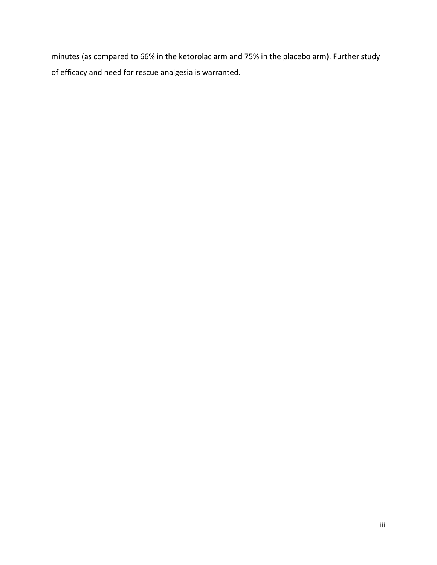minutes (as compared to 66% in the ketorolac arm and 75% in the placebo arm). Further study of efficacy and need for rescue analgesia is warranted.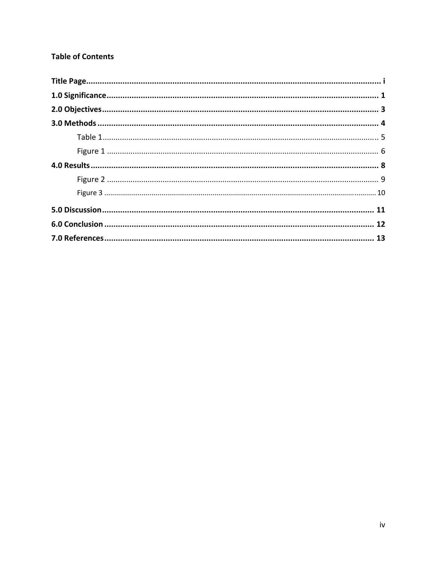# **Table of Contents**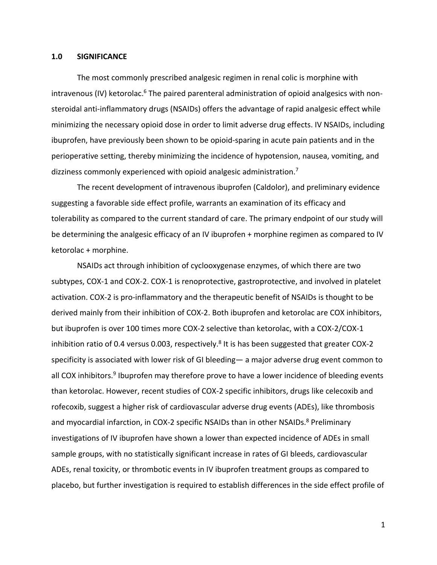#### **1.0 SIGNIFICANCE**

The most commonly prescribed analgesic regimen in renal colic is morphine with  $intr$ avenous (IV) ketorolac.<sup>6</sup> The paired parenteral administration of opioid analgesics with nonsteroidal anti‐inflammatory drugs (NSAIDs) offers the advantage of rapid analgesic effect while minimizing the necessary opioid dose in order to limit adverse drug effects. IV NSAIDs, including ibuprofen, have previously been shown to be opioid‐sparing in acute pain patients and in the perioperative setting, thereby minimizing the incidence of hypotension, nausea, vomiting, and dizziness commonly experienced with opioid analgesic administration.7

The recent development of intravenous ibuprofen (Caldolor), and preliminary evidence suggesting a favorable side effect profile, warrants an examination of its efficacy and tolerability as compared to the current standard of care. The primary endpoint of our study will be determining the analgesic efficacy of an IV ibuprofen + morphine regimen as compared to IV ketorolac + morphine.

NSAIDs act through inhibition of cyclooxygenase enzymes, of which there are two subtypes, COX‐1 and COX‐2. COX‐1 is renoprotective, gastroprotective, and involved in platelet activation. COX‐2 is pro‐inflammatory and the therapeutic benefit of NSAIDs is thought to be derived mainly from their inhibition of COX‐2. Both ibuprofen and ketorolac are COX inhibitors, but ibuprofen is over 100 times more COX‐2 selective than ketorolac, with a COX‐2/COX‐1 inhibition ratio of 0.4 versus 0.003, respectively.<sup>8</sup> It is has been suggested that greater COX-2 specificity is associated with lower risk of GI bleeding— a major adverse drug event common to all COX inhibitors.<sup>9</sup> Ibuprofen may therefore prove to have a lower incidence of bleeding events than ketorolac. However, recent studies of COX‐2 specific inhibitors, drugs like celecoxib and rofecoxib, suggest a higher risk of cardiovascular adverse drug events (ADEs), like thrombosis and myocardial infarction, in COX-2 specific NSAIDs than in other NSAIDs.<sup>8</sup> Preliminary investigations of IV ibuprofen have shown a lower than expected incidence of ADEs in small sample groups, with no statistically significant increase in rates of GI bleeds, cardiovascular ADEs, renal toxicity, or thrombotic events in IV ibuprofen treatment groups as compared to placebo, but further investigation is required to establish differences in the side effect profile of

1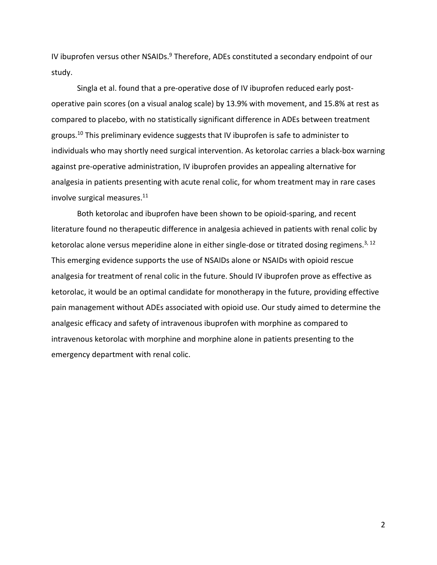IV ibuprofen versus other NSAIDs.<sup>9</sup> Therefore, ADEs constituted a secondary endpoint of our study.

Singla et al. found that a pre‐operative dose of IV ibuprofen reduced early post‐ operative pain scores (on a visual analog scale) by 13.9% with movement, and 15.8% at rest as compared to placebo, with no statistically significant difference in ADEs between treatment groups.10 This preliminary evidence suggests that IV ibuprofen is safe to administer to individuals who may shortly need surgical intervention. As ketorolac carries a black‐box warning against pre‐operative administration, IV ibuprofen provides an appealing alternative for analgesia in patients presenting with acute renal colic, for whom treatment may in rare cases involve surgical measures.<sup>11</sup>

Both ketorolac and ibuprofen have been shown to be opioid‐sparing, and recent literature found no therapeutic difference in analgesia achieved in patients with renal colic by ketorolac alone versus meperidine alone in either single-dose or titrated dosing regimens.<sup>3, 12</sup> This emerging evidence supports the use of NSAIDs alone or NSAIDs with opioid rescue analgesia for treatment of renal colic in the future. Should IV ibuprofen prove as effective as ketorolac, it would be an optimal candidate for monotherapy in the future, providing effective pain management without ADEs associated with opioid use. Our study aimed to determine the analgesic efficacy and safety of intravenous ibuprofen with morphine as compared to intravenous ketorolac with morphine and morphine alone in patients presenting to the emergency department with renal colic.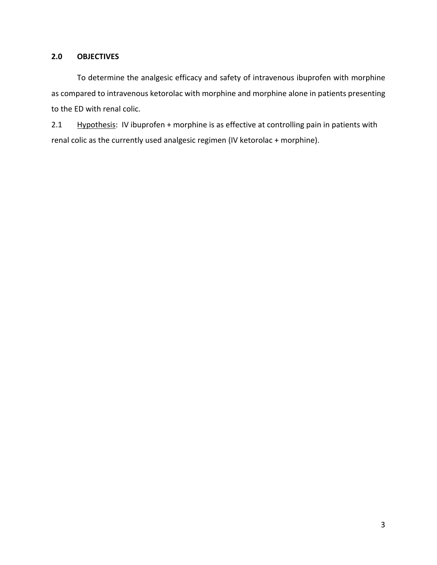# **2.0 OBJECTIVES**

To determine the analgesic efficacy and safety of intravenous ibuprofen with morphine as compared to intravenous ketorolac with morphine and morphine alone in patients presenting to the ED with renal colic.

2.1 Hypothesis: IV ibuprofen + morphine is as effective at controlling pain in patients with renal colic as the currently used analgesic regimen (IV ketorolac + morphine).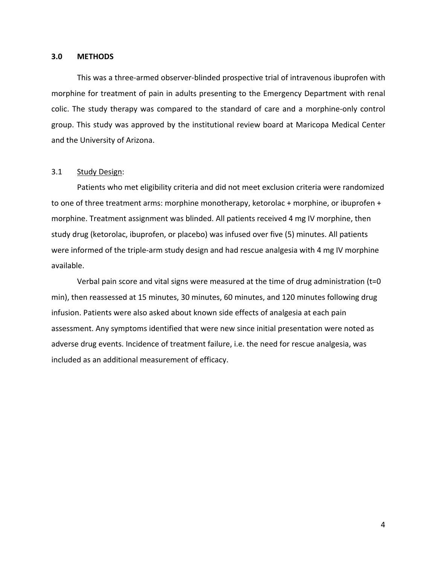### **3.0 METHODS**

This was a three‐armed observer‐blinded prospective trial of intravenous ibuprofen with morphine for treatment of pain in adults presenting to the Emergency Department with renal colic. The study therapy was compared to the standard of care and a morphine‐only control group. This study was approved by the institutional review board at Maricopa Medical Center and the University of Arizona.

### 3.1 Study Design:

Patients who met eligibility criteria and did not meet exclusion criteria were randomized to one of three treatment arms: morphine monotherapy, ketorolac + morphine, or ibuprofen + morphine. Treatment assignment was blinded. All patients received 4 mg IV morphine, then study drug (ketorolac, ibuprofen, or placebo) was infused over five (5) minutes. All patients were informed of the triple-arm study design and had rescue analgesia with 4 mg IV morphine available.

Verbal pain score and vital signs were measured at the time of drug administration ( $t=0$ ) min), then reassessed at 15 minutes, 30 minutes, 60 minutes, and 120 minutes following drug infusion. Patients were also asked about known side effects of analgesia at each pain assessment. Any symptoms identified that were new since initial presentation were noted as adverse drug events. Incidence of treatment failure, i.e. the need for rescue analgesia, was included as an additional measurement of efficacy.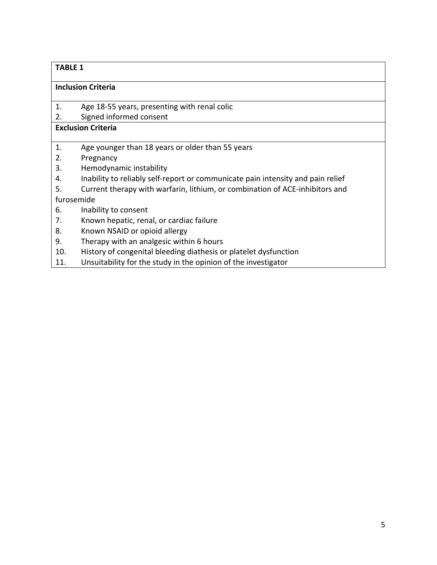## **TABLE 1**

### **Inclusion Criteria**

- 1. Age 18‐55 years, presenting with renal colic
- 2. Signed informed consent

# **Exclusion Criteria**

- 1. Age younger than 18 years or older than 55 years
- 2. Pregnancy
- 3. Hemodynamic instability
- 4. Inability to reliably self-report or communicate pain intensity and pain relief
- 5. Current therapy with warfarin, lithium, or combination of ACE-inhibitors and

## furosemide

- 6. Inability to consent
- 7. Known hepatic, renal, or cardiac failure
- 8. Known NSAID or opioid allergy
- 9. Therapy with an analgesic within 6 hours
- 10. History of congenital bleeding diathesis or platelet dysfunction
- 11. Unsuitability for the study in the opinion of the investigator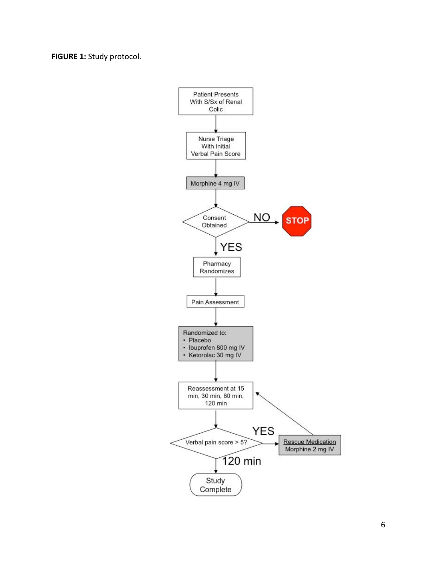**FIGURE 1:** Study protocol.

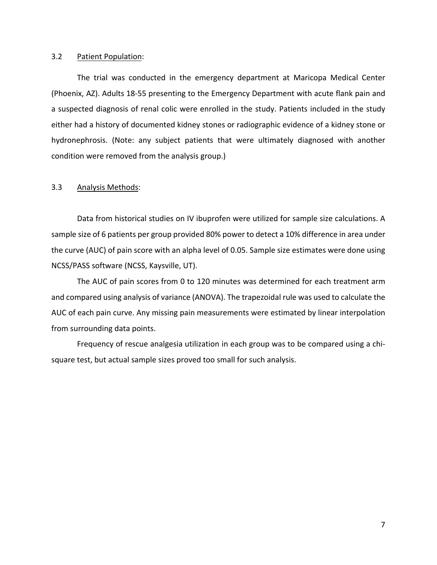### 3.2 Patient Population:

The trial was conducted in the emergency department at Maricopa Medical Center (Phoenix, AZ). Adults 18‐55 presenting to the Emergency Department with acute flank pain and a suspected diagnosis of renal colic were enrolled in the study. Patients included in the study either had a history of documented kidney stones or radiographic evidence of a kidney stone or hydronephrosis. (Note: any subject patients that were ultimately diagnosed with another condition were removed from the analysis group.)

### 3.3 Analysis Methods:

Data from historical studies on IV ibuprofen were utilized for sample size calculations. A sample size of 6 patients per group provided 80% power to detect a 10% difference in area under the curve (AUC) of pain score with an alpha level of 0.05. Sample size estimates were done using NCSS/PASS software (NCSS, Kaysville, UT).

The AUC of pain scores from 0 to 120 minutes was determined for each treatment arm and compared using analysis of variance (ANOVA). The trapezoidal rule was used to calculate the AUC of each pain curve. Any missing pain measurements were estimated by linear interpolation from surrounding data points.

Frequency of rescue analgesia utilization in each group was to be compared using a chi‐ square test, but actual sample sizes proved too small for such analysis.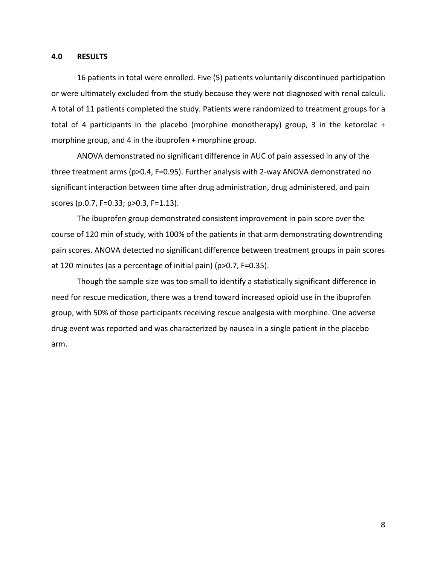### **4.0 RESULTS**

16 patients in total were enrolled. Five (5) patients voluntarily discontinued participation or were ultimately excluded from the study because they were not diagnosed with renal calculi. A total of 11 patients completed the study. Patients were randomized to treatment groups for a total of 4 participants in the placebo (morphine monotherapy) group, 3 in the ketorolac + morphine group, and 4 in the ibuprofen + morphine group.

ANOVA demonstrated no significant difference in AUC of pain assessed in any of the three treatment arms (p>0.4, F=0.95). Further analysis with 2‐way ANOVA demonstrated no significant interaction between time after drug administration, drug administered, and pain scores (p.0.7, F=0.33; p>0.3, F=1.13).

The ibuprofen group demonstrated consistent improvement in pain score over the course of 120 min of study, with 100% of the patients in that arm demonstrating downtrending pain scores. ANOVA detected no significant difference between treatment groups in pain scores at 120 minutes (as a percentage of initial pain) (p>0.7, F=0.35).

Though the sample size was too small to identify a statistically significant difference in need for rescue medication, there was a trend toward increased opioid use in the ibuprofen group, with 50% of those participants receiving rescue analgesia with morphine. One adverse drug event was reported and was characterized by nausea in a single patient in the placebo arm.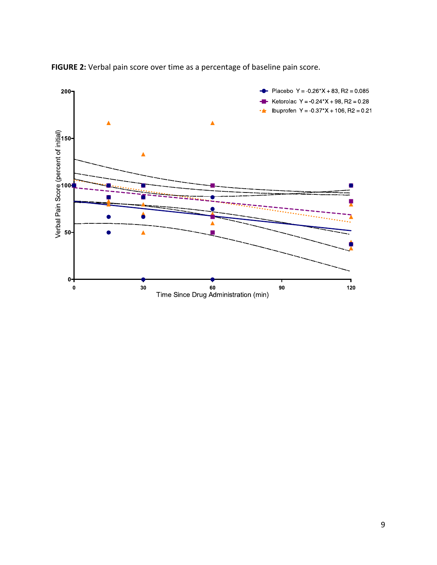

**FIGURE 2:** Verbal pain score over time as a percentage of baseline pain score.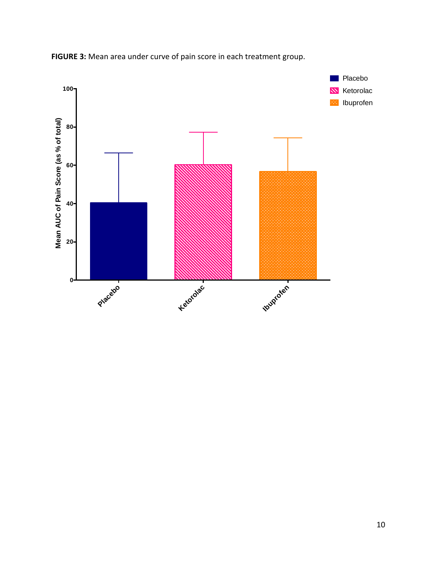

**FIGURE 3:** Mean area under curve of pain score in each treatment group.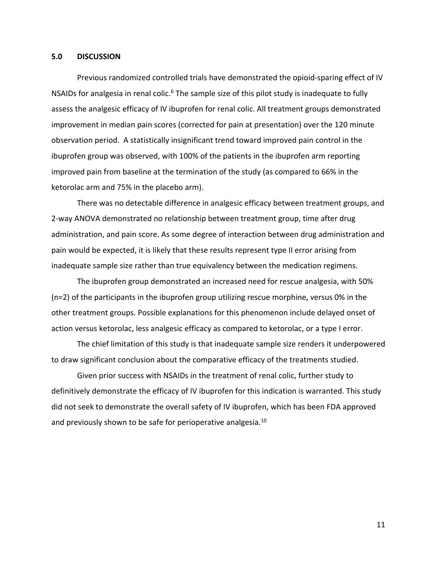#### **5.0 DISCUSSION**

Previous randomized controlled trials have demonstrated the opioid‐sparing effect of IV NSAIDs for analgesia in renal colic.<sup>6</sup> The sample size of this pilot study is inadequate to fully assess the analgesic efficacy of IV ibuprofen for renal colic. All treatment groups demonstrated improvement in median pain scores (corrected for pain at presentation) over the 120 minute observation period. A statistically insignificant trend toward improved pain control in the ibuprofen group was observed, with 100% of the patients in the ibuprofen arm reporting improved pain from baseline at the termination of the study (as compared to 66% in the ketorolac arm and 75% in the placebo arm).

There was no detectable difference in analgesic efficacy between treatment groups, and 2‐way ANOVA demonstrated no relationship between treatment group, time after drug administration, and pain score. As some degree of interaction between drug administration and pain would be expected, it is likely that these results represent type II error arising from inadequate sample size rather than true equivalency between the medication regimens.

The ibuprofen group demonstrated an increased need for rescue analgesia, with 50% (n=2) of the participants in the ibuprofen group utilizing rescue morphine, versus 0% in the other treatment groups. Possible explanations for this phenomenon include delayed onset of action versus ketorolac, less analgesic efficacy as compared to ketorolac, or a type I error.

The chief limitation of this study is that inadequate sample size renders it underpowered to draw significant conclusion about the comparative efficacy of the treatments studied.

Given prior success with NSAIDs in the treatment of renal colic, further study to definitively demonstrate the efficacy of IV ibuprofen for this indication is warranted. This study did not seek to demonstrate the overall safety of IV ibuprofen, which has been FDA approved and previously shown to be safe for perioperative analgesia.<sup>10</sup>

11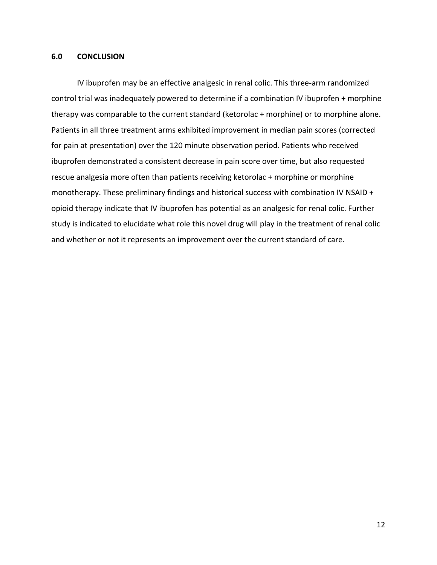### **6.0 CONCLUSION**

IV ibuprofen may be an effective analgesic in renal colic. This three‐arm randomized control trial was inadequately powered to determine if a combination IV ibuprofen + morphine therapy was comparable to the current standard (ketorolac + morphine) or to morphine alone. Patients in all three treatment arms exhibited improvement in median pain scores (corrected for pain at presentation) over the 120 minute observation period. Patients who received ibuprofen demonstrated a consistent decrease in pain score over time, but also requested rescue analgesia more often than patients receiving ketorolac + morphine or morphine monotherapy. These preliminary findings and historical success with combination IV NSAID + opioid therapy indicate that IV ibuprofen has potential as an analgesic for renal colic. Further study is indicated to elucidate what role this novel drug will play in the treatment of renal colic and whether or not it represents an improvement over the current standard of care.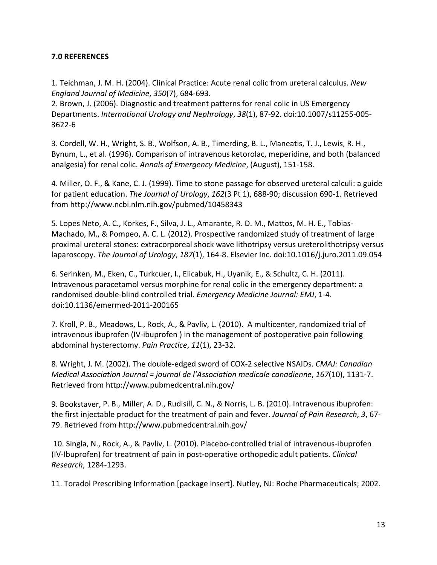## **7.0 REFERENCES**

1. Teichman, J. M. H. (2004). Clinical Practice: Acute renal colic from ureteral calculus. *New England Journal of Medicine*, *350*(7), 684‐693.

2. Brown, J. (2006). Diagnostic and treatment patterns for renal colic in US Emergency Departments. *International Urology and Nephrology*, *38*(1), 87‐92. doi:10.1007/s11255‐005‐ 3622‐6

3. Cordell, W. H., Wright, S. B., Wolfson, A. B., Timerding, B. L., Maneatis, T. J., Lewis, R. H., Bynum, L., et al. (1996). Comparison of intravenous ketorolac, meperidine, and both (balanced analgesia) for renal colic. *Annals of Emergency Medicine*, (August), 151‐158.

4. Miller, O. F., & Kane, C. J. (1999). Time to stone passage for observed ureteral calculi: a guide for patient education. *The Journal of Urology*, *162*(3 Pt 1), 688‐90; discussion 690‐1. Retrieved from http://www.ncbi.nlm.nih.gov/pubmed/10458343

5. Lopes Neto, A. C., Korkes, F., Silva, J. L., Amarante, R. D. M., Mattos, M. H. E., Tobias‐ Machado, M., & Pompeo, A. C. L. (2012). Prospective randomized study of treatment of large proximal ureteral stones: extracorporeal shock wave lithotripsy versus ureterolithotripsy versus laparoscopy. *The Journal of Urology*, *187*(1), 164‐8. Elsevier Inc. doi:10.1016/j.juro.2011.09.054

6. Serinken, M., Eken, C., Turkcuer, I., Elicabuk, H., Uyanik, E., & Schultz, C. H. (2011). Intravenous paracetamol versus morphine for renal colic in the emergency department: a randomised double‐blind controlled trial. *Emergency Medicine Journal: EMJ*, 1‐4. doi:10.1136/emermed‐2011‐200165

7. Kroll, P. B., Meadows, L., Rock, A., & Pavliv, L. (2010). A multicenter, randomized trial of intravenous ibuprofen (IV-ibuprofen) in the management of postoperative pain following abdominal hysterectomy. *Pain Practice*, *11*(1), 23‐32.

8. Wright, J. M. (2002). The double‐edged sword of COX‐2 selective NSAIDs. *CMAJ: Canadian Medical Association Journal = journal de l'Association medicale canadienne*, *167*(10), 1131‐7. Retrieved from http://www.pubmedcentral.nih.gov/

9. Bookstaver, P. B., Miller, A. D., Rudisill, C. N., & Norris, L. B. (2010). Intravenous ibuprofen: the first injectable product for the treatment of pain and fever. *Journal of Pain Research*, *3*, 67‐ 79. Retrieved from http://www.pubmedcentral.nih.gov/

10. Singla, N., Rock, A., & Pavliv, L. (2010). Placebo‐controlled trial of intravenous‐ibuprofen (IV‐Ibuprofen) for treatment of pain in post‐operative orthopedic adult patients. *Clinical Research*, 1284‐1293.

11. Toradol Prescribing Information [package insert]. Nutley, NJ: Roche Pharmaceuticals; 2002.